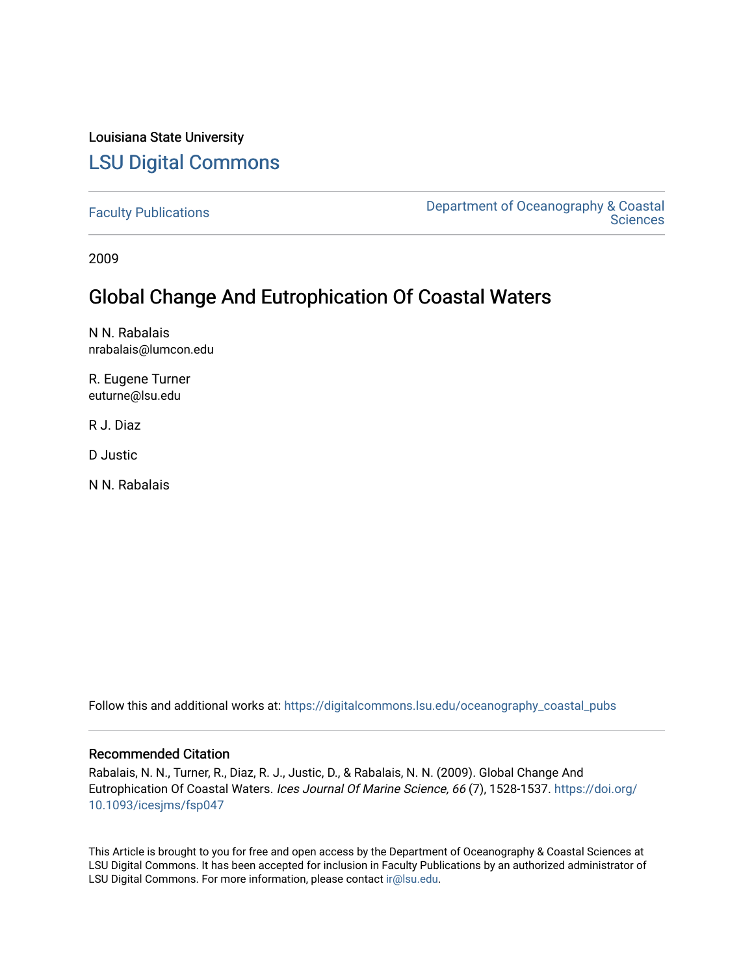## Louisiana State University [LSU Digital Commons](https://digitalcommons.lsu.edu/)

[Faculty Publications](https://digitalcommons.lsu.edu/oceanography_coastal_pubs) [Department of Oceanography & Coastal](https://digitalcommons.lsu.edu/oceanography_coastal)  **Sciences** 

2009

# Global Change And Eutrophication Of Coastal Waters

N N. Rabalais nrabalais@lumcon.edu

R. Eugene Turner euturne@lsu.edu

R J. Diaz

D Justic

N N. Rabalais

Follow this and additional works at: [https://digitalcommons.lsu.edu/oceanography\\_coastal\\_pubs](https://digitalcommons.lsu.edu/oceanography_coastal_pubs?utm_source=digitalcommons.lsu.edu%2Foceanography_coastal_pubs%2F87&utm_medium=PDF&utm_campaign=PDFCoverPages) 

## Recommended Citation

Rabalais, N. N., Turner, R., Diaz, R. J., Justic, D., & Rabalais, N. N. (2009). Global Change And Eutrophication Of Coastal Waters. Ices Journal Of Marine Science, 66 (7), 1528-1537. [https://doi.org/](https://doi.org/10.1093/icesjms/fsp047) [10.1093/icesjms/fsp047](https://doi.org/10.1093/icesjms/fsp047) 

This Article is brought to you for free and open access by the Department of Oceanography & Coastal Sciences at LSU Digital Commons. It has been accepted for inclusion in Faculty Publications by an authorized administrator of LSU Digital Commons. For more information, please contact [ir@lsu.edu.](mailto:ir@lsu.edu)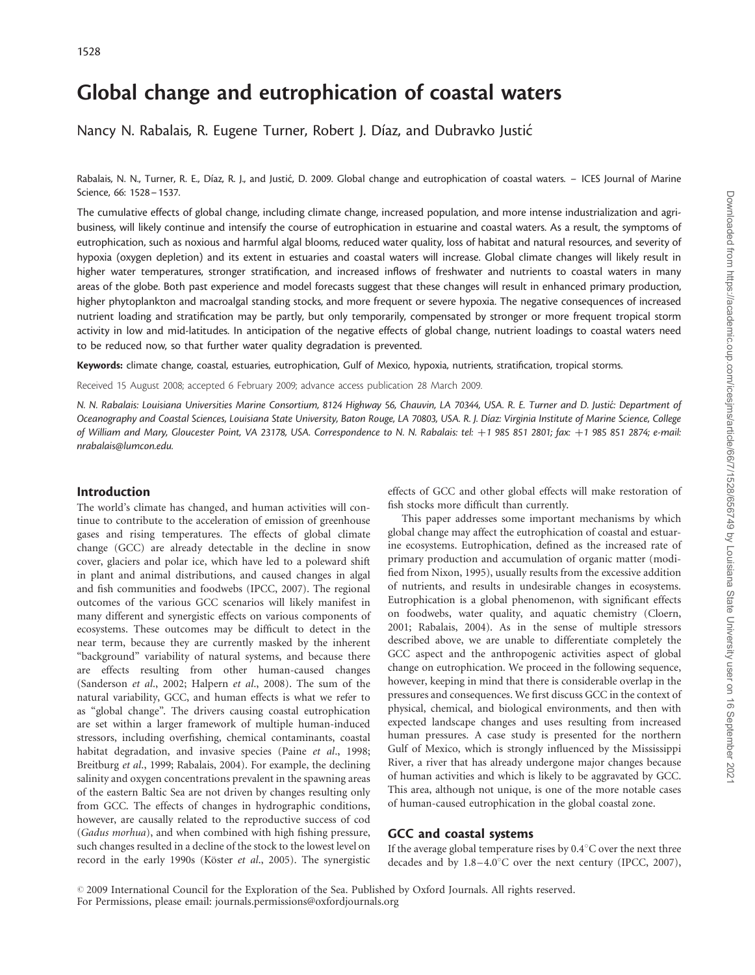# Global change and eutrophication of coastal waters

## Nancy N. Rabalais, R. Eugene Turner, Robert J. Díaz, and Dubravko Justić

Rabalais, N. N., Turner, R. E., Díaz, R. J., and Justić, D. 2009. Global change and eutrophication of coastal waters. – ICES Journal of Marine Science, 66: 1528–1537.

The cumulative effects of global change, including climate change, increased population, and more intense industrialization and agribusiness, will likely continue and intensify the course of eutrophication in estuarine and coastal waters. As a result, the symptoms of eutrophication, such as noxious and harmful algal blooms, reduced water quality, loss of habitat and natural resources, and severity of hypoxia (oxygen depletion) and its extent in estuaries and coastal waters will increase. Global climate changes will likely result in higher water temperatures, stronger stratification, and increased inflows of freshwater and nutrients to coastal waters in many areas of the globe. Both past experience and model forecasts suggest that these changes will result in enhanced primary production, higher phytoplankton and macroalgal standing stocks, and more frequent or severe hypoxia. The negative consequences of increased nutrient loading and stratification may be partly, but only temporarily, compensated by stronger or more frequent tropical storm activity in low and mid-latitudes. In anticipation of the negative effects of global change, nutrient loadings to coastal waters need to be reduced now, so that further water quality degradation is prevented.

Keywords: climate change, coastal, estuaries, eutrophication, Gulf of Mexico, hypoxia, nutrients, stratification, tropical storms.

Received 15 August 2008; accepted 6 February 2009; advance access publication 28 March 2009.

N. N. Rabalais: Louisiana Universities Marine Consortium, 8124 Highway 56, Chauvin, LA 70344, USA. R. E. Turner and D. Justić: Department of Oceanography and Coastal Sciences, Louisiana State University, Baton Rouge, LA 70803, USA. R. J. Díaz: Virginia Institute of Marine Science, College of William and Mary, Gloucester Point, VA 23178, USA. Correspondence to N. N. Rabalais: tel: +1 985 851 2801; fax: +1 985 851 2874; e-mail: nrabalais@lumcon.edu.

## Introduction

The world's climate has changed, and human activities will continue to contribute to the acceleration of emission of greenhouse gases and rising temperatures. The effects of global climate change (GCC) are already detectable in the decline in snow cover, glaciers and polar ice, which have led to a poleward shift in plant and animal distributions, and caused changes in algal and fish communities and foodwebs (IPCC, 2007). The regional outcomes of the various GCC scenarios will likely manifest in many different and synergistic effects on various components of ecosystems. These outcomes may be difficult to detect in the near term, because they are currently masked by the inherent "background" variability of natural systems, and because there are effects resulting from other human-caused changes (Sanderson et al., 2002; Halpern et al., 2008). The sum of the natural variability, GCC, and human effects is what we refer to as "global change". The drivers causing coastal eutrophication are set within a larger framework of multiple human-induced stressors, including overfishing, chemical contaminants, coastal habitat degradation, and invasive species (Paine et al., 1998; Breitburg et al., 1999; Rabalais, 2004). For example, the declining salinity and oxygen concentrations prevalent in the spawning areas of the eastern Baltic Sea are not driven by changes resulting only from GCC. The effects of changes in hydrographic conditions, however, are causally related to the reproductive success of cod (Gadus morhua), and when combined with high fishing pressure, such changes resulted in a decline of the stock to the lowest level on record in the early 1990s (Köster et al., 2005). The synergistic effects of GCC and other global effects will make restoration of fish stocks more difficult than currently.

This paper addresses some important mechanisms by which global change may affect the eutrophication of coastal and estuarine ecosystems. Eutrophication, defined as the increased rate of primary production and accumulation of organic matter (modified from Nixon, 1995), usually results from the excessive addition of nutrients, and results in undesirable changes in ecosystems. Eutrophication is a global phenomenon, with significant effects on foodwebs, water quality, and aquatic chemistry (Cloern, 2001; Rabalais, 2004). As in the sense of multiple stressors described above, we are unable to differentiate completely the GCC aspect and the anthropogenic activities aspect of global change on eutrophication. We proceed in the following sequence, however, keeping in mind that there is considerable overlap in the pressures and consequences. We first discuss GCC in the context of physical, chemical, and biological environments, and then with expected landscape changes and uses resulting from increased human pressures. A case study is presented for the northern Gulf of Mexico, which is strongly influenced by the Mississippi River, a river that has already undergone major changes because of human activities and which is likely to be aggravated by GCC. This area, although not unique, is one of the more notable cases of human-caused eutrophication in the global coastal zone.

#### GCC and coastal systems

If the average global temperature rises by  $0.4^{\circ}$ C over the next three decades and by  $1.8-4.0^{\circ}$ C over the next century (IPCC, 2007),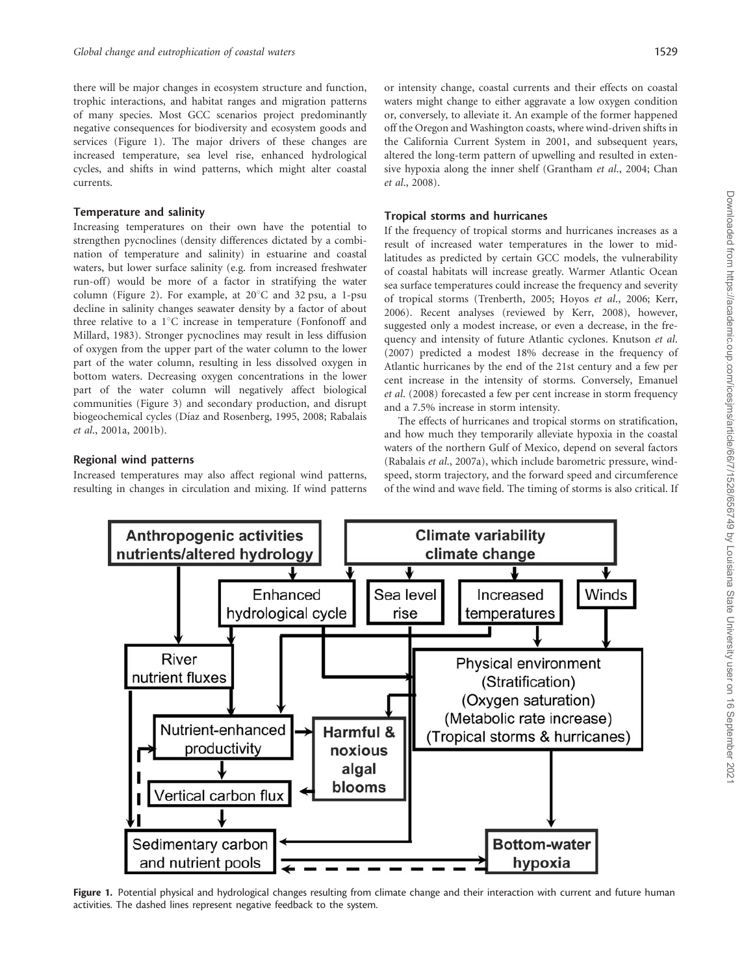there will be major changes in ecosystem structure and function, trophic interactions, and habitat ranges and migration patterns of many species. Most GCC scenarios project predominantly negative consequences for biodiversity and ecosystem goods and services (Figure 1). The major drivers of these changes are increased temperature, sea level rise, enhanced hydrological cycles, and shifts in wind patterns, which might alter coastal currents.

#### Temperature and salinity

Increasing temperatures on their own have the potential to strengthen pycnoclines (density differences dictated by a combination of temperature and salinity) in estuarine and coastal waters, but lower surface salinity (e.g. from increased freshwater run-off) would be more of a factor in stratifying the water column (Figure 2). For example, at  $20^{\circ}$ C and 32 psu, a 1-psu decline in salinity changes seawater density by a factor of about three relative to a  $1^{\circ}$ C increase in temperature (Fonfonoff and Millard, 1983). Stronger pycnoclines may result in less diffusion of oxygen from the upper part of the water column to the lower part of the water column, resulting in less dissolved oxygen in bottom waters. Decreasing oxygen concentrations in the lower part of the water column will negatively affect biological communities (Figure 3) and secondary production, and disrupt biogeochemical cycles (Díaz and Rosenberg, 1995, 2008; Rabalais et al., 2001a, 2001b).

#### Regional wind patterns

Increased temperatures may also affect regional wind patterns, resulting in changes in circulation and mixing. If wind patterns or intensity change, coastal currents and their effects on coastal waters might change to either aggravate a low oxygen condition or, conversely, to alleviate it. An example of the former happened off the Oregon and Washington coasts, where wind-driven shifts in the California Current System in 2001, and subsequent years, altered the long-term pattern of upwelling and resulted in extensive hypoxia along the inner shelf (Grantham et al., 2004; Chan et al., 2008).

#### Tropical storms and hurricanes

If the frequency of tropical storms and hurricanes increases as a result of increased water temperatures in the lower to midlatitudes as predicted by certain GCC models, the vulnerability of coastal habitats will increase greatly. Warmer Atlantic Ocean sea surface temperatures could increase the frequency and severity of tropical storms (Trenberth, 2005; Hoyos et al., 2006; Kerr, 2006). Recent analyses (reviewed by Kerr, 2008), however, suggested only a modest increase, or even a decrease, in the frequency and intensity of future Atlantic cyclones. Knutson et al. (2007) predicted a modest 18% decrease in the frequency of Atlantic hurricanes by the end of the 21st century and a few per cent increase in the intensity of storms. Conversely, Emanuel et al. (2008) forecasted a few per cent increase in storm frequency and a 7.5% increase in storm intensity.

The effects of hurricanes and tropical storms on stratification, and how much they temporarily alleviate hypoxia in the coastal waters of the northern Gulf of Mexico, depend on several factors (Rabalais et al., 2007a), which include barometric pressure, windspeed, storm trajectory, and the forward speed and circumference of the wind and wave field. The timing of storms is also critical. If



Figure 1. Potential physical and hydrological changes resulting from climate change and their interaction with current and future human activities. The dashed lines represent negative feedback to the system.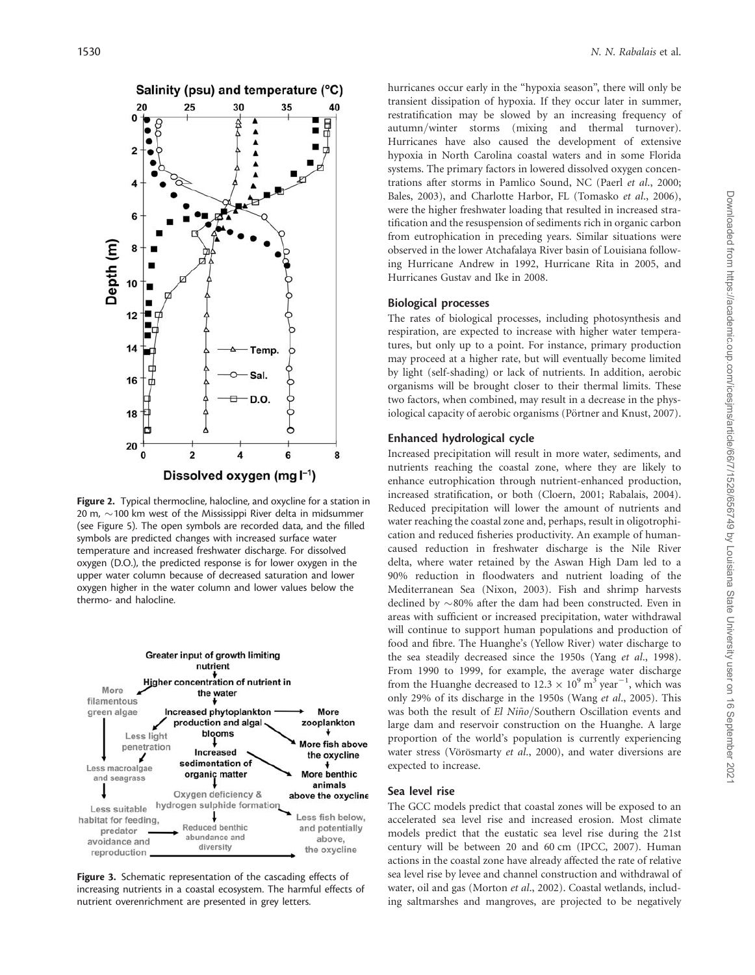

Figure 2. Typical thermocline, halocline, and oxycline for a station in 20 m,  $\sim$ 100 km west of the Mississippi River delta in midsummer (see Figure 5). The open symbols are recorded data, and the filled symbols are predicted changes with increased surface water temperature and increased freshwater discharge. For dissolved oxygen (D.O.), the predicted response is for lower oxygen in the upper water column because of decreased saturation and lower oxygen higher in the water column and lower values below the thermo- and halocline.



Figure 3. Schematic representation of the cascading effects of increasing nutrients in a coastal ecosystem. The harmful effects of nutrient overenrichment are presented in grey letters.

hurricanes occur early in the "hypoxia season", there will only be transient dissipation of hypoxia. If they occur later in summer, restratification may be slowed by an increasing frequency of autumn/winter storms (mixing and thermal turnover). Hurricanes have also caused the development of extensive hypoxia in North Carolina coastal waters and in some Florida systems. The primary factors in lowered dissolved oxygen concentrations after storms in Pamlico Sound, NC (Paerl et al., 2000; Bales, 2003), and Charlotte Harbor, FL (Tomasko et al., 2006), were the higher freshwater loading that resulted in increased stratification and the resuspension of sediments rich in organic carbon from eutrophication in preceding years. Similar situations were observed in the lower Atchafalaya River basin of Louisiana following Hurricane Andrew in 1992, Hurricane Rita in 2005, and Hurricanes Gustav and Ike in 2008.

### Biological processes

The rates of biological processes, including photosynthesis and respiration, are expected to increase with higher water temperatures, but only up to a point. For instance, primary production may proceed at a higher rate, but will eventually become limited by light (self-shading) or lack of nutrients. In addition, aerobic organisms will be brought closer to their thermal limits. These two factors, when combined, may result in a decrease in the physiological capacity of aerobic organisms (Pörtner and Knust, 2007).

### Enhanced hydrological cycle

Increased precipitation will result in more water, sediments, and nutrients reaching the coastal zone, where they are likely to enhance eutrophication through nutrient-enhanced production, increased stratification, or both (Cloern, 2001; Rabalais, 2004). Reduced precipitation will lower the amount of nutrients and water reaching the coastal zone and, perhaps, result in oligotrophication and reduced fisheries productivity. An example of humancaused reduction in freshwater discharge is the Nile River delta, where water retained by the Aswan High Dam led to a 90% reduction in floodwaters and nutrient loading of the Mediterranean Sea (Nixon, 2003). Fish and shrimp harvests declined by  $\sim$ 80% after the dam had been constructed. Even in areas with sufficient or increased precipitation, water withdrawal will continue to support human populations and production of food and fibre. The Huanghe's (Yellow River) water discharge to the sea steadily decreased since the 1950s (Yang et al., 1998). From 1990 to 1999, for example, the average water discharge from the Huanghe decreased to  $12.3 \times 10^9$  m<sup>3</sup> year<sup>-1</sup>, which was only 29% of its discharge in the 1950s (Wang et al., 2005). This was both the result of El Niño/Southern Oscillation events and large dam and reservoir construction on the Huanghe. A large proportion of the world's population is currently experiencing water stress (Vörösmarty et al., 2000), and water diversions are expected to increase.

#### Sea level rise

The GCC models predict that coastal zones will be exposed to an accelerated sea level rise and increased erosion. Most climate models predict that the eustatic sea level rise during the 21st century will be between 20 and 60 cm (IPCC, 2007). Human actions in the coastal zone have already affected the rate of relative sea level rise by levee and channel construction and withdrawal of water, oil and gas (Morton et al., 2002). Coastal wetlands, including saltmarshes and mangroves, are projected to be negatively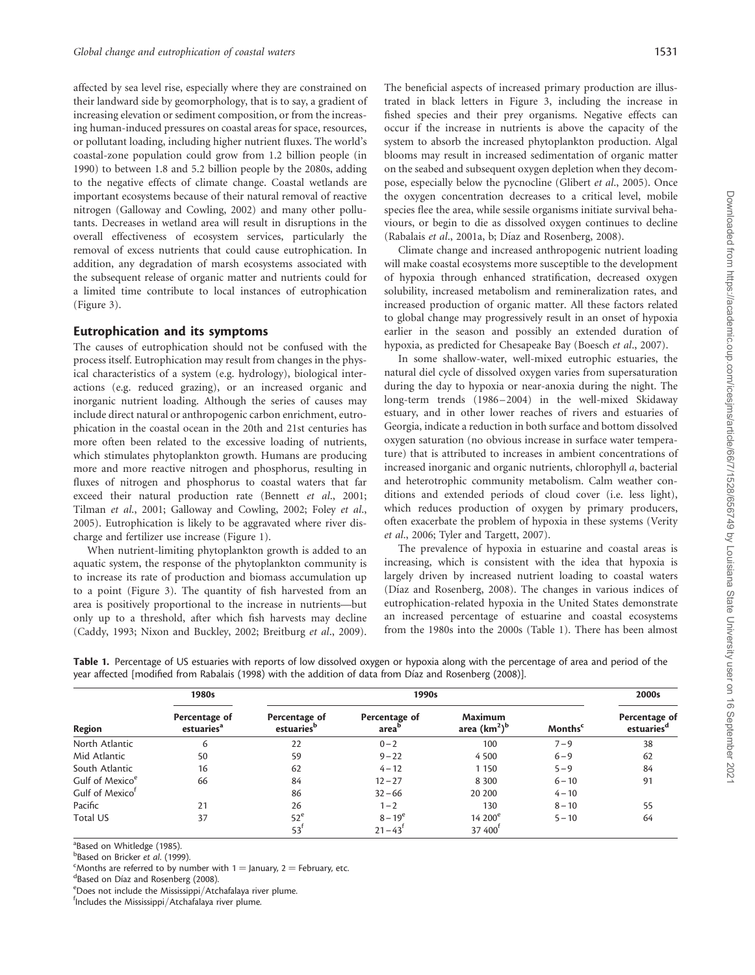affected by sea level rise, especially where they are constrained on their landward side by geomorphology, that is to say, a gradient of increasing elevation or sediment composition, or from the increasing human-induced pressures on coastal areas for space, resources, or pollutant loading, including higher nutrient fluxes. The world's coastal-zone population could grow from 1.2 billion people (in 1990) to between 1.8 and 5.2 billion people by the 2080s, adding to the negative effects of climate change. Coastal wetlands are important ecosystems because of their natural removal of reactive nitrogen (Galloway and Cowling, 2002) and many other pollutants. Decreases in wetland area will result in disruptions in the overall effectiveness of ecosystem services, particularly the removal of excess nutrients that could cause eutrophication. In addition, any degradation of marsh ecosystems associated with the subsequent release of organic matter and nutrients could for a limited time contribute to local instances of eutrophication (Figure 3).

#### Eutrophication and its symptoms

The causes of eutrophication should not be confused with the process itself. Eutrophication may result from changes in the physical characteristics of a system (e.g. hydrology), biological interactions (e.g. reduced grazing), or an increased organic and inorganic nutrient loading. Although the series of causes may include direct natural or anthropogenic carbon enrichment, eutrophication in the coastal ocean in the 20th and 21st centuries has more often been related to the excessive loading of nutrients, which stimulates phytoplankton growth. Humans are producing more and more reactive nitrogen and phosphorus, resulting in fluxes of nitrogen and phosphorus to coastal waters that far exceed their natural production rate (Bennett et al., 2001; Tilman et al., 2001; Galloway and Cowling, 2002; Foley et al., 2005). Eutrophication is likely to be aggravated where river discharge and fertilizer use increase (Figure 1).

When nutrient-limiting phytoplankton growth is added to an aquatic system, the response of the phytoplankton community is to increase its rate of production and biomass accumulation up to a point (Figure 3). The quantity of fish harvested from an area is positively proportional to the increase in nutrients—but only up to a threshold, after which fish harvests may decline (Caddy, 1993; Nixon and Buckley, 2002; Breitburg et al., 2009).

The beneficial aspects of increased primary production are illustrated in black letters in Figure 3, including the increase in fished species and their prey organisms. Negative effects can occur if the increase in nutrients is above the capacity of the system to absorb the increased phytoplankton production. Algal blooms may result in increased sedimentation of organic matter on the seabed and subsequent oxygen depletion when they decompose, especially below the pycnocline (Glibert et al., 2005). Once the oxygen concentration decreases to a critical level, mobile species flee the area, while sessile organisms initiate survival behaviours, or begin to die as dissolved oxygen continues to decline (Rabalais et al., 2001a, b; Díaz and Rosenberg, 2008).

Climate change and increased anthropogenic nutrient loading will make coastal ecosystems more susceptible to the development of hypoxia through enhanced stratification, decreased oxygen solubility, increased metabolism and remineralization rates, and increased production of organic matter. All these factors related to global change may progressively result in an onset of hypoxia earlier in the season and possibly an extended duration of hypoxia, as predicted for Chesapeake Bay (Boesch et al., 2007).

In some shallow-water, well-mixed eutrophic estuaries, the natural diel cycle of dissolved oxygen varies from supersaturation during the day to hypoxia or near-anoxia during the night. The long-term trends (1986–2004) in the well-mixed Skidaway estuary, and in other lower reaches of rivers and estuaries of Georgia, indicate a reduction in both surface and bottom dissolved oxygen saturation (no obvious increase in surface water temperature) that is attributed to increases in ambient concentrations of increased inorganic and organic nutrients, chlorophyll a, bacterial and heterotrophic community metabolism. Calm weather conditions and extended periods of cloud cover (i.e. less light), which reduces production of oxygen by primary producers, often exacerbate the problem of hypoxia in these systems (Verity et al., 2006; Tyler and Targett, 2007).

The prevalence of hypoxia in estuarine and coastal areas is increasing, which is consistent with the idea that hypoxia is largely driven by increased nutrient loading to coastal waters (Díaz and Rosenberg, 2008). The changes in various indices of eutrophication-related hypoxia in the United States demonstrate an increased percentage of estuarine and coastal ecosystems from the 1980s into the 2000s (Table 1). There has been almost

|                             | 1980s<br>Percentage of<br>estuaries <sup>a</sup> | 1990s                                   |                                    |                                   |                     | 2000s                                   |
|-----------------------------|--------------------------------------------------|-----------------------------------------|------------------------------------|-----------------------------------|---------------------|-----------------------------------------|
| <b>Region</b>               |                                                  | Percentage of<br>estuaries <sup>p</sup> | Percentage of<br>area <sup>b</sup> | <b>Maximum</b><br>area $(km^2)^b$ | Months <sup>c</sup> | Percentage of<br>estuaries <sup>a</sup> |
| North Atlantic              | 6                                                | 22                                      | $0 - 2$                            | 100                               | $7 - 9$             | 38                                      |
| Mid Atlantic                | 50                                               | 59                                      | $9 - 22$                           | 4 500                             | $6 - 9$             | 62                                      |
| South Atlantic              | 16                                               | 62                                      | $4 - 12$                           | 1 1 5 0                           | $5 - 9$             | 84                                      |
| Gulf of Mexico <sup>e</sup> | 66                                               | 84                                      | $12 - 27$                          | 8 3 0 0                           | $6 - 10$            | 91                                      |
| Gulf of Mexico <sup>t</sup> |                                                  | 86                                      | $32 - 66$                          | 20 200                            | $4 - 10$            |                                         |
| Pacific                     | 21                                               | 26                                      | $1 - 2$                            | 130                               | $8 - 10$            | 55                                      |
| Total US                    | 37                                               | $52^e$                                  | $8 - 19^e$                         | $14200^e$                         | $5 - 10$            | 64                                      |
|                             |                                                  | $53$ <sup>r</sup>                       | $21 - 43$ <sup>r</sup>             | 37 400 <sup>r</sup>               |                     |                                         |

Table 1. Percentage of US estuaries with reports of low dissolved oxygen or hypoxia along with the percentage of area and period of the year affected [modified from Rabalais (1998) with the addition of data from Díaz and Rosenberg (2008)].

<sup>a</sup>Based on Whitledge (1985).

 $b$ Based on Bricker et al. (1999).

<sup>c</sup>Months are referred to by number with  $1 =$  January, 2 = February, etc.

<sup>d</sup>Based on Díaz and Rosenberg (2008).

<sup>e</sup>Does not include the Mississippi/Atchafalaya river plume.

 $<sup>f</sup>$ Includes the Mississippi/Atchafalaya river plume.</sup>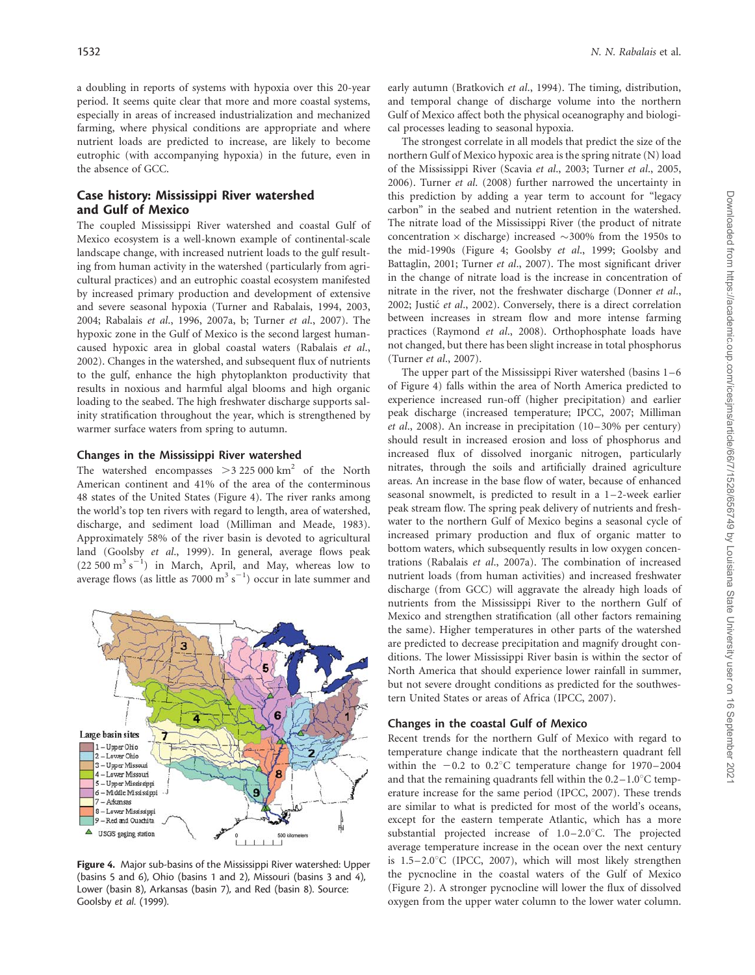a doubling in reports of systems with hypoxia over this 20-year period. It seems quite clear that more and more coastal systems, especially in areas of increased industrialization and mechanized farming, where physical conditions are appropriate and where nutrient loads are predicted to increase, are likely to become eutrophic (with accompanying hypoxia) in the future, even in the absence of GCC.

## Case history: Mississippi River watershed and Gulf of Mexico

The coupled Mississippi River watershed and coastal Gulf of Mexico ecosystem is a well-known example of continental-scale landscape change, with increased nutrient loads to the gulf resulting from human activity in the watershed (particularly from agricultural practices) and an eutrophic coastal ecosystem manifested by increased primary production and development of extensive and severe seasonal hypoxia (Turner and Rabalais, 1994, 2003, 2004; Rabalais et al., 1996, 2007a, b; Turner et al., 2007). The hypoxic zone in the Gulf of Mexico is the second largest humancaused hypoxic area in global coastal waters (Rabalais et al., 2002). Changes in the watershed, and subsequent flux of nutrients to the gulf, enhance the high phytoplankton productivity that results in noxious and harmful algal blooms and high organic loading to the seabed. The high freshwater discharge supports salinity stratification throughout the year, which is strengthened by warmer surface waters from spring to autumn.

### Changes in the Mississippi River watershed

The watershed encompasses  $>3$  225 000 km<sup>2</sup> of the North American continent and 41% of the area of the conterminous 48 states of the United States (Figure 4). The river ranks among the world's top ten rivers with regard to length, area of watershed, discharge, and sediment load (Milliman and Meade, 1983). Approximately 58% of the river basin is devoted to agricultural land (Goolsby et al., 1999). In general, average flows peak  $(22500 \text{ m}^3 \text{ s}^{-1})$  in March, April, and May, whereas low to average flows (as little as  $7000 \text{ m}^3 \text{ s}^{-1}$ ) occur in late summer and



Figure 4. Major sub-basins of the Mississippi River watershed: Upper (basins 5 and 6), Ohio (basins 1 and 2), Missouri (basins 3 and 4), Lower (basin 8), Arkansas (basin 7), and Red (basin 8). Source: Goolsby et al. (1999).

early autumn (Bratkovich et al., 1994). The timing, distribution, and temporal change of discharge volume into the northern Gulf of Mexico affect both the physical oceanography and biological processes leading to seasonal hypoxia.

The strongest correlate in all models that predict the size of the northern Gulf of Mexico hypoxic area is the spring nitrate (N) load of the Mississippi River (Scavia et al., 2003; Turner et al., 2005, 2006). Turner et al. (2008) further narrowed the uncertainty in this prediction by adding a year term to account for "legacy carbon" in the seabed and nutrient retention in the watershed. The nitrate load of the Mississippi River (the product of nitrate concentration  $\times$  discharge) increased  $\sim$ 300% from the 1950s to the mid-1990s (Figure 4; Goolsby et al., 1999; Goolsby and Battaglin, 2001; Turner et al., 2007). The most significant driver in the change of nitrate load is the increase in concentration of nitrate in the river, not the freshwater discharge (Donner et al., 2002; Justic et al., 2002). Conversely, there is a direct correlation between increases in stream flow and more intense farming practices (Raymond et al., 2008). Orthophosphate loads have not changed, but there has been slight increase in total phosphorus (Turner et al., 2007).

The upper part of the Mississippi River watershed (basins 1–6 of Figure 4) falls within the area of North America predicted to experience increased run-off (higher precipitation) and earlier peak discharge (increased temperature; IPCC, 2007; Milliman et al., 2008). An increase in precipitation (10–30% per century) should result in increased erosion and loss of phosphorus and increased flux of dissolved inorganic nitrogen, particularly nitrates, through the soils and artificially drained agriculture areas. An increase in the base flow of water, because of enhanced seasonal snowmelt, is predicted to result in a 1–2-week earlier peak stream flow. The spring peak delivery of nutrients and freshwater to the northern Gulf of Mexico begins a seasonal cycle of increased primary production and flux of organic matter to bottom waters, which subsequently results in low oxygen concentrations (Rabalais et al., 2007a). The combination of increased nutrient loads (from human activities) and increased freshwater discharge (from GCC) will aggravate the already high loads of nutrients from the Mississippi River to the northern Gulf of Mexico and strengthen stratification (all other factors remaining the same). Higher temperatures in other parts of the watershed are predicted to decrease precipitation and magnify drought conditions. The lower Mississippi River basin is within the sector of North America that should experience lower rainfall in summer, but not severe drought conditions as predicted for the southwestern United States or areas of Africa (IPCC, 2007).

#### Changes in the coastal Gulf of Mexico

Recent trends for the northern Gulf of Mexico with regard to temperature change indicate that the northeastern quadrant fell within the  $-0.2$  to 0.2°C temperature change for 1970–2004 and that the remaining quadrants fell within the  $0.2-1.0^{\circ}$ C temperature increase for the same period (IPCC, 2007). These trends are similar to what is predicted for most of the world's oceans, except for the eastern temperate Atlantic, which has a more substantial projected increase of  $1.0-2.0^{\circ}$ C. The projected average temperature increase in the ocean over the next century is  $1.5-2.0^{\circ}$ C (IPCC, 2007), which will most likely strengthen the pycnocline in the coastal waters of the Gulf of Mexico (Figure 2). A stronger pycnocline will lower the flux of dissolved oxygen from the upper water column to the lower water column.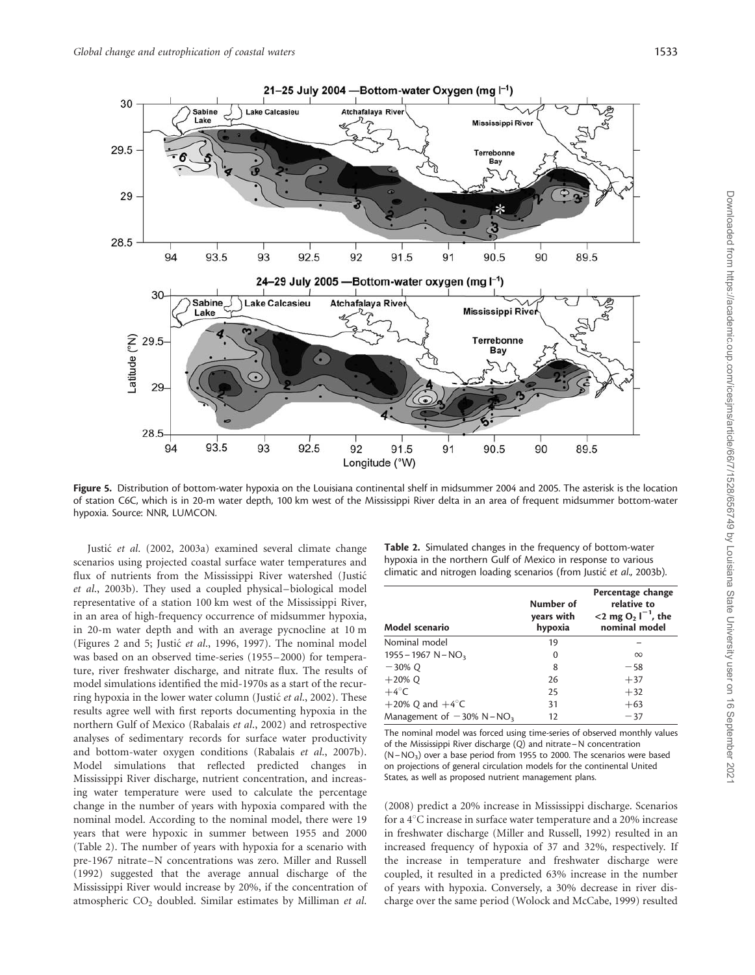

Figure 5. Distribution of bottom-water hypoxia on the Louisiana continental shelf in midsummer 2004 and 2005. The asterisk is the location of station C6C, which is in 20-m water depth, 100 km west of the Mississippi River delta in an area of frequent midsummer bottom-water hypoxia. Source: NNR, LUMCON.

Justić et al. (2002, 2003a) examined several climate change scenarios using projected coastal surface water temperatures and flux of nutrients from the Mississippi River watershed (Justic´ et al., 2003b). They used a coupled physical–biological model representative of a station 100 km west of the Mississippi River, in an area of high-frequency occurrence of midsummer hypoxia, in 20-m water depth and with an average pycnocline at 10 m (Figures 2 and 5; Justic et al., 1996, 1997). The nominal model was based on an observed time-series (1955–2000) for temperature, river freshwater discharge, and nitrate flux. The results of model simulations identified the mid-1970s as a start of the recurring hypoxia in the lower water column (Justic et al., 2002). These results agree well with first reports documenting hypoxia in the northern Gulf of Mexico (Rabalais et al., 2002) and retrospective analyses of sedimentary records for surface water productivity and bottom-water oxygen conditions (Rabalais et al., 2007b). Model simulations that reflected predicted changes in Mississippi River discharge, nutrient concentration, and increasing water temperature were used to calculate the percentage change in the number of years with hypoxia compared with the nominal model. According to the nominal model, there were 19 years that were hypoxic in summer between 1955 and 2000 (Table 2). The number of years with hypoxia for a scenario with pre-1967 nitrate–N concentrations was zero. Miller and Russell (1992) suggested that the average annual discharge of the Mississippi River would increase by 20%, if the concentration of atmospheric  $CO<sub>2</sub>$  doubled. Similar estimates by Milliman et al. Table 2. Simulated changes in the frequency of bottom-water hypoxia in the northern Gulf of Mexico in response to various climatic and nitrogen loading scenarios (from Justić et al., 2003b).

| Model scenario                            | Number of<br>years with<br>hypoxia | Percentage change<br>relative to<br>$<$ 2 mg O <sub>2</sub> $I^{-1}$ , the<br>nominal model |
|-------------------------------------------|------------------------------------|---------------------------------------------------------------------------------------------|
| Nominal model                             | 19                                 |                                                                                             |
| $1955 - 1967$ N – NO <sub>3</sub>         | $\Omega$                           | $\infty$                                                                                    |
| $-30\%$ Q                                 | 8                                  | $-58$                                                                                       |
| $+20\%$ Q                                 | 26                                 | $+37$                                                                                       |
| $+4^{\circ}C$                             | 25                                 | $+32$                                                                                       |
| +20% Q and +4 $\degree$ C                 | 31                                 | $+63$                                                                                       |
| Management of $-30\%$ N – NO <sub>3</sub> | 12                                 | $-37$                                                                                       |

The nominal model was forced using time-series of observed monthly values of the Mississippi River discharge (Q) and nitrate–N concentration  $(N-NO<sub>3</sub>)$  over a base period from 1955 to 2000. The scenarios were based on projections of general circulation models for the continental United States, as well as proposed nutrient management plans.

(2008) predict a 20% increase in Mississippi discharge. Scenarios for a  $4^{\circ}$ C increase in surface water temperature and a 20% increase in freshwater discharge (Miller and Russell, 1992) resulted in an increased frequency of hypoxia of 37 and 32%, respectively. If the increase in temperature and freshwater discharge were coupled, it resulted in a predicted 63% increase in the number of years with hypoxia. Conversely, a 30% decrease in river discharge over the same period (Wolock and McCabe, 1999) resulted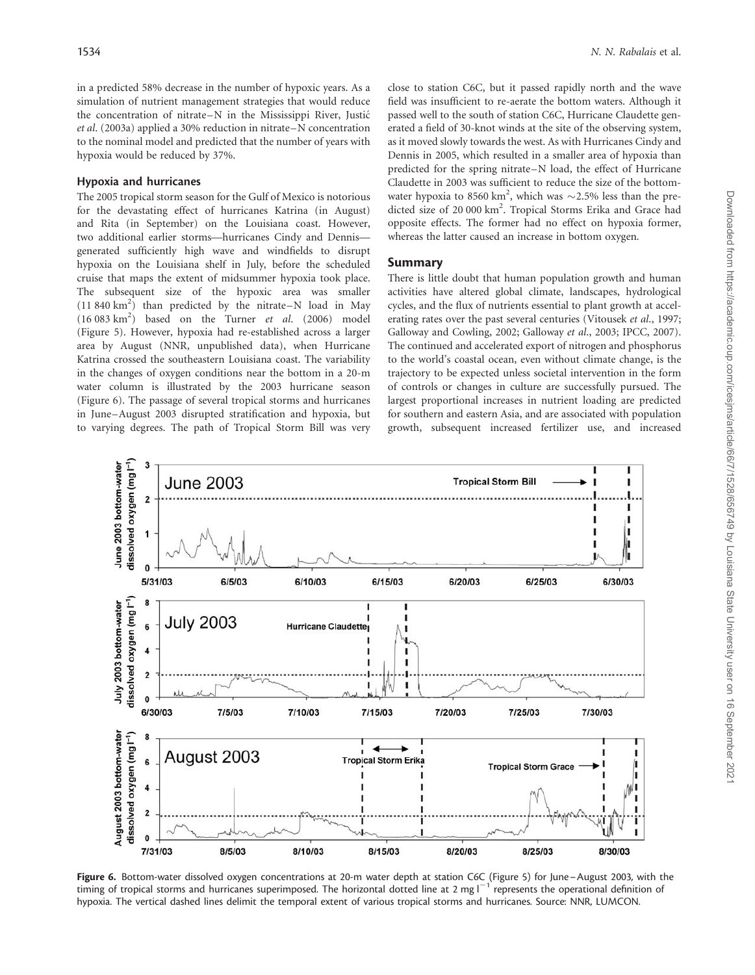in a predicted 58% decrease in the number of hypoxic years. As a simulation of nutrient management strategies that would reduce the concentration of nitrate–N in the Mississippi River, Justic´ et al. (2003a) applied a 30% reduction in nitrate–N concentration to the nominal model and predicted that the number of years with hypoxia would be reduced by 37%.

### Hypoxia and hurricanes

The 2005 tropical storm season for the Gulf of Mexico is notorious for the devastating effect of hurricanes Katrina (in August) and Rita (in September) on the Louisiana coast. However, two additional earlier storms—hurricanes Cindy and Dennis generated sufficiently high wave and windfields to disrupt hypoxia on the Louisiana shelf in July, before the scheduled cruise that maps the extent of midsummer hypoxia took place. The subsequent size of the hypoxic area was smaller  $(11 840 \text{ km}^2)$  than predicted by the nitrate–N load in May  $(16083 \text{ km}^2)$  based on the Turner et al.  $(2006)$  model (Figure 5). However, hypoxia had re-established across a larger area by August (NNR, unpublished data), when Hurricane Katrina crossed the southeastern Louisiana coast. The variability in the changes of oxygen conditions near the bottom in a 20-m water column is illustrated by the 2003 hurricane season (Figure 6). The passage of several tropical storms and hurricanes in June–August 2003 disrupted stratification and hypoxia, but to varying degrees. The path of Tropical Storm Bill was very

close to station C6C, but it passed rapidly north and the wave field was insufficient to re-aerate the bottom waters. Although it passed well to the south of station C6C, Hurricane Claudette generated a field of 30-knot winds at the site of the observing system, as it moved slowly towards the west. As with Hurricanes Cindy and Dennis in 2005, which resulted in a smaller area of hypoxia than predicted for the spring nitrate–N load, the effect of Hurricane Claudette in 2003 was sufficient to reduce the size of the bottomwater hypoxia to 8560 km<sup>2</sup>, which was  $\sim$  2.5% less than the predicted size of 20 000 km2 . Tropical Storms Erika and Grace had opposite effects. The former had no effect on hypoxia former, whereas the latter caused an increase in bottom oxygen.

#### Summary

There is little doubt that human population growth and human activities have altered global climate, landscapes, hydrological cycles, and the flux of nutrients essential to plant growth at accelerating rates over the past several centuries (Vitousek et al., 1997; Galloway and Cowling, 2002; Galloway et al., 2003; IPCC, 2007). The continued and accelerated export of nitrogen and phosphorus to the world's coastal ocean, even without climate change, is the trajectory to be expected unless societal intervention in the form of controls or changes in culture are successfully pursued. The largest proportional increases in nutrient loading are predicted for southern and eastern Asia, and are associated with population growth, subsequent increased fertilizer use, and increased



Figure 6. Bottom-water dissolved oxygen concentrations at 20-m water depth at station C6C (Figure 5) for June–August 2003, with the timing of tropical storms and hurricanes superimposed. The horizontal dotted line at 2 mg  $I^{-1}$  represents the operational definition of hypoxia. The vertical dashed lines delimit the temporal extent of various tropical storms and hurricanes. Source: NNR, LUMCON.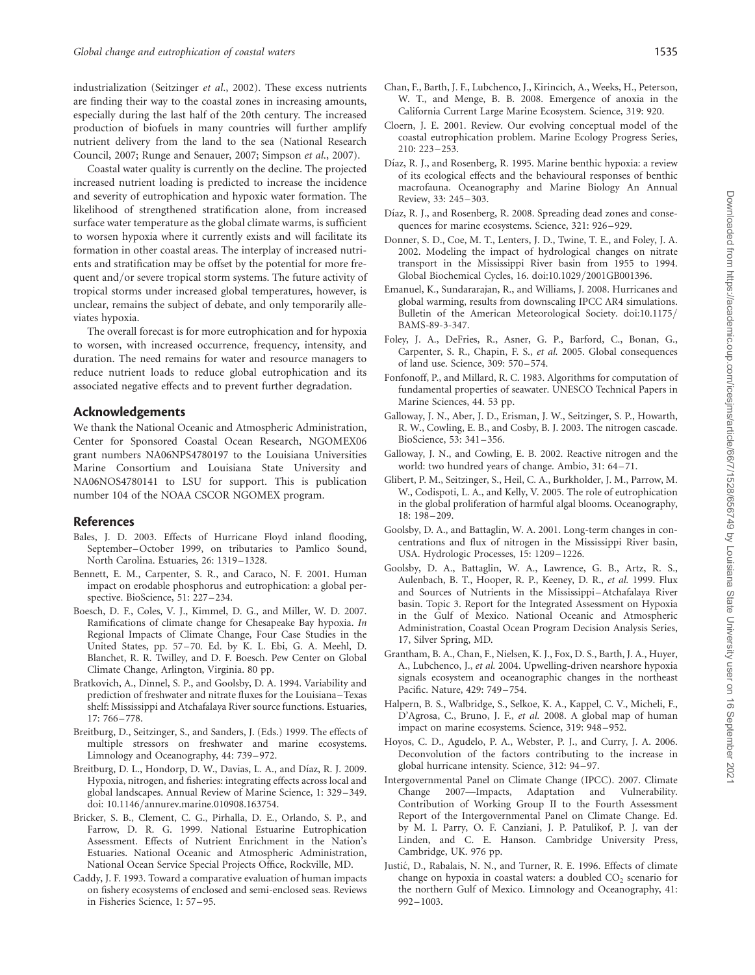industrialization (Seitzinger et al., 2002). These excess nutrients are finding their way to the coastal zones in increasing amounts, especially during the last half of the 20th century. The increased production of biofuels in many countries will further amplify nutrient delivery from the land to the sea (National Research Council, 2007; Runge and Senauer, 2007; Simpson et al., 2007).

Coastal water quality is currently on the decline. The projected increased nutrient loading is predicted to increase the incidence and severity of eutrophication and hypoxic water formation. The likelihood of strengthened stratification alone, from increased surface water temperature as the global climate warms, is sufficient to worsen hypoxia where it currently exists and will facilitate its formation in other coastal areas. The interplay of increased nutrients and stratification may be offset by the potential for more frequent and/or severe tropical storm systems. The future activity of tropical storms under increased global temperatures, however, is unclear, remains the subject of debate, and only temporarily alleviates hypoxia.

The overall forecast is for more eutrophication and for hypoxia to worsen, with increased occurrence, frequency, intensity, and duration. The need remains for water and resource managers to reduce nutrient loads to reduce global eutrophication and its associated negative effects and to prevent further degradation.

#### Acknowledgements

We thank the National Oceanic and Atmospheric Administration, Center for Sponsored Coastal Ocean Research, NGOMEX06 grant numbers NA06NPS4780197 to the Louisiana Universities Marine Consortium and Louisiana State University and NA06NOS4780141 to LSU for support. This is publication number 104 of the NOAA CSCOR NGOMEX program.

#### References

- Bales, J. D. 2003. Effects of Hurricane Floyd inland flooding, September–October 1999, on tributaries to Pamlico Sound, North Carolina. Estuaries, 26: 1319–1328.
- Bennett, E. M., Carpenter, S. R., and Caraco, N. F. 2001. Human impact on erodable phosphorus and eutrophication: a global perspective. BioScience, 51: 227-234.
- Boesch, D. F., Coles, V. J., Kimmel, D. G., and Miller, W. D. 2007. Ramifications of climate change for Chesapeake Bay hypoxia. In Regional Impacts of Climate Change, Four Case Studies in the United States, pp. 57–70. Ed. by K. L. Ebi, G. A. Meehl, D. Blanchet, R. R. Twilley, and D. F. Boesch. Pew Center on Global Climate Change, Arlington, Virginia. 80 pp.
- Bratkovich, A., Dinnel, S. P., and Goolsby, D. A. 1994. Variability and prediction of freshwater and nitrate fluxes for the Louisiana–Texas shelf: Mississippi and Atchafalaya River source functions. Estuaries, 17: 766–778.
- Breitburg, D., Seitzinger, S., and Sanders, J. (Eds.) 1999. The effects of multiple stressors on freshwater and marine ecosystems. Limnology and Oceanography, 44: 739–972.
- Breitburg, D. L., Hondorp, D. W., Davias, L. A., and Díaz, R. J. 2009. Hypoxia, nitrogen, and fisheries: integrating effects across local and global landscapes. Annual Review of Marine Science, 1: 329–349. doi: 10.1146/annurev.marine.010908.163754.
- Bricker, S. B., Clement, C. G., Pirhalla, D. E., Orlando, S. P., and Farrow, D. R. G. 1999. National Estuarine Eutrophication Assessment. Effects of Nutrient Enrichment in the Nation's Estuaries. National Oceanic and Atmospheric Administration, National Ocean Service Special Projects Office, Rockville, MD.
- Caddy, J. F. 1993. Toward a comparative evaluation of human impacts on fishery ecosystems of enclosed and semi-enclosed seas. Reviews in Fisheries Science, 1: 57–95.
- Chan, F., Barth, J. F., Lubchenco, J., Kirincich, A., Weeks, H., Peterson, W. T., and Menge, B. B. 2008. Emergence of anoxia in the California Current Large Marine Ecosystem. Science, 319: 920.
- Cloern, J. E. 2001. Review. Our evolving conceptual model of the coastal eutrophication problem. Marine Ecology Progress Series, 210: 223–253.
- Díaz, R. J., and Rosenberg, R. 1995. Marine benthic hypoxia: a review of its ecological effects and the behavioural responses of benthic macrofauna. Oceanography and Marine Biology An Annual Review, 33: 245–303.
- Díaz, R. J., and Rosenberg, R. 2008. Spreading dead zones and consequences for marine ecosystems. Science, 321: 926–929.
- Donner, S. D., Coe, M. T., Lenters, J. D., Twine, T. E., and Foley, J. A. 2002. Modeling the impact of hydrological changes on nitrate transport in the Mississippi River basin from 1955 to 1994. Global Biochemical Cycles, 16. doi:10.1029/2001GB001396.
- Emanuel, K., Sundararajan, R., and Williams, J. 2008. Hurricanes and global warming, results from downscaling IPCC AR4 simulations. Bulletin of the American Meteorological Society. doi:10.1175/ BAMS-89-3-347.
- Foley, J. A., DeFries, R., Asner, G. P., Barford, C., Bonan, G., Carpenter, S. R., Chapin, F. S., et al. 2005. Global consequences of land use. Science, 309: 570–574.
- Fonfonoff, P., and Millard, R. C. 1983. Algorithms for computation of fundamental properties of seawater. UNESCO Technical Papers in Marine Sciences, 44. 53 pp.
- Galloway, J. N., Aber, J. D., Erisman, J. W., Seitzinger, S. P., Howarth, R. W., Cowling, E. B., and Cosby, B. J. 2003. The nitrogen cascade. BioScience, 53: 341–356.
- Galloway, J. N., and Cowling, E. B. 2002. Reactive nitrogen and the world: two hundred years of change. Ambio, 31: 64–71.
- Glibert, P. M., Seitzinger, S., Heil, C. A., Burkholder, J. M., Parrow, M. W., Codispoti, L. A., and Kelly, V. 2005. The role of eutrophication in the global proliferation of harmful algal blooms. Oceanography, 18: 198–209.
- Goolsby, D. A., and Battaglin, W. A. 2001. Long-term changes in concentrations and flux of nitrogen in the Mississippi River basin, USA. Hydrologic Processes, 15: 1209–1226.
- Goolsby, D. A., Battaglin, W. A., Lawrence, G. B., Artz, R. S., Aulenbach, B. T., Hooper, R. P., Keeney, D. R., et al. 1999. Flux and Sources of Nutrients in the Mississippi–Atchafalaya River basin. Topic 3. Report for the Integrated Assessment on Hypoxia in the Gulf of Mexico. National Oceanic and Atmospheric Administration, Coastal Ocean Program Decision Analysis Series, 17, Silver Spring, MD.
- Grantham, B. A., Chan, F., Nielsen, K. J., Fox, D. S., Barth, J. A., Huyer, A., Lubchenco, J., et al. 2004. Upwelling-driven nearshore hypoxia signals ecosystem and oceanographic changes in the northeast Pacific. Nature, 429: 749–754.
- Halpern, B. S., Walbridge, S., Selkoe, K. A., Kappel, C. V., Micheli, F., D'Agrosa, C., Bruno, J. F., et al. 2008. A global map of human impact on marine ecosystems. Science, 319: 948–952.
- Hoyos, C. D., Agudelo, P. A., Webster, P. J., and Curry, J. A. 2006. Deconvolution of the factors contributing to the increase in global hurricane intensity. Science, 312: 94–97.
- Intergovernmental Panel on Climate Change (IPCC). 2007. Climate Change 2007—Impacts, Adaptation and Vulnerability. Contribution of Working Group II to the Fourth Assessment Report of the Intergovernmental Panel on Climate Change. Ed. by M. I. Parry, O. F. Canziani, J. P. Patulikof, P. J. van der Linden, and C. E. Hanson. Cambridge University Press, Cambridge, UK. 976 pp.
- Justić, D., Rabalais, N. N., and Turner, R. E. 1996. Effects of climate change on hypoxia in coastal waters: a doubled  $CO<sub>2</sub>$  scenario for the northern Gulf of Mexico. Limnology and Oceanography, 41: 992–1003.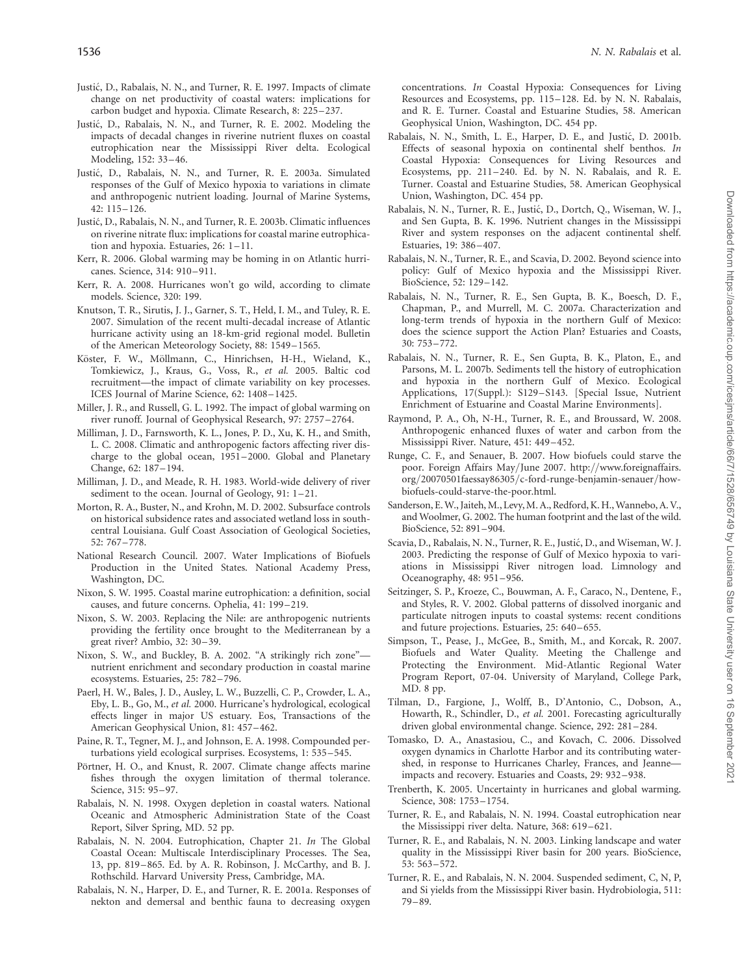- Justić, D., Rabalais, N. N., and Turner, R. E. 1997. Impacts of climate change on net productivity of coastal waters: implications for carbon budget and hypoxia. Climate Research, 8: 225–237.
- Justic´, D., Rabalais, N. N., and Turner, R. E. 2002. Modeling the impacts of decadal changes in riverine nutrient fluxes on coastal eutrophication near the Mississippi River delta. Ecological Modeling, 152: 33–46.
- Justić, D., Rabalais, N. N., and Turner, R. E. 2003a. Simulated responses of the Gulf of Mexico hypoxia to variations in climate and anthropogenic nutrient loading. Journal of Marine Systems, 42: 115–126.
- Justić, D., Rabalais, N. N., and Turner, R. E. 2003b. Climatic influences on riverine nitrate flux: implications for coastal marine eutrophication and hypoxia. Estuaries, 26: 1–11.
- Kerr, R. 2006. Global warming may be homing in on Atlantic hurricanes. Science, 314: 910–911.
- Kerr, R. A. 2008. Hurricanes won't go wild, according to climate models. Science, 320: 199.
- Knutson, T. R., Sirutis, J. J., Garner, S. T., Held, I. M., and Tuley, R. E. 2007. Simulation of the recent multi-decadal increase of Atlantic hurricane activity using an 18-km-grid regional model. Bulletin of the American Meteorology Society, 88: 1549–1565.
- Köster, F. W., Möllmann, C., Hinrichsen, H-H., Wieland, K., Tomkiewicz, J., Kraus, G., Voss, R., et al. 2005. Baltic cod recruitment—the impact of climate variability on key processes. ICES Journal of Marine Science, 62: 1408–1425.
- Miller, J. R., and Russell, G. L. 1992. The impact of global warming on river runoff. Journal of Geophysical Research, 97: 2757–2764.
- Milliman, J. D., Farnsworth, K. L., Jones, P. D., Xu, K. H., and Smith, L. C. 2008. Climatic and anthropogenic factors affecting river discharge to the global ocean, 1951–2000. Global and Planetary Change, 62: 187–194.
- Milliman, J. D., and Meade, R. H. 1983. World-wide delivery of river sediment to the ocean. Journal of Geology, 91: 1–21.
- Morton, R. A., Buster, N., and Krohn, M. D. 2002. Subsurface controls on historical subsidence rates and associated wetland loss in southcentral Louisiana. Gulf Coast Association of Geological Societies, 52: 767–778.
- National Research Council. 2007. Water Implications of Biofuels Production in the United States. National Academy Press, Washington, DC.
- Nixon, S. W. 1995. Coastal marine eutrophication: a definition, social causes, and future concerns. Ophelia, 41: 199–219.
- Nixon, S. W. 2003. Replacing the Nile: are anthropogenic nutrients providing the fertility once brought to the Mediterranean by a great river? Ambio, 32: 30–39.
- Nixon, S. W., and Buckley, B. A. 2002. "A strikingly rich zone" nutrient enrichment and secondary production in coastal marine ecosystems. Estuaries, 25: 782–796.
- Paerl, H. W., Bales, J. D., Ausley, L. W., Buzzelli, C. P., Crowder, L. A., Eby, L. B., Go, M., et al. 2000. Hurricane's hydrological, ecological effects linger in major US estuary. Eos, Transactions of the American Geophysical Union, 81: 457–462.
- Paine, R. T., Tegner, M. J., and Johnson, E. A. 1998. Compounded perturbations yield ecological surprises. Ecosystems, 1: 535–545.
- Pörtner, H. O., and Knust, R. 2007. Climate change affects marine fishes through the oxygen limitation of thermal tolerance. Science, 315: 95–97.
- Rabalais, N. N. 1998. Oxygen depletion in coastal waters. National Oceanic and Atmospheric Administration State of the Coast Report, Silver Spring, MD. 52 pp.
- Rabalais, N. N. 2004. Eutrophication, Chapter 21. In The Global Coastal Ocean: Multiscale Interdisciplinary Processes. The Sea, 13, pp. 819–865. Ed. by A. R. Robinson, J. McCarthy, and B. J. Rothschild. Harvard University Press, Cambridge, MA.
- Rabalais, N. N., Harper, D. E., and Turner, R. E. 2001a. Responses of nekton and demersal and benthic fauna to decreasing oxygen

concentrations. In Coastal Hypoxia: Consequences for Living Resources and Ecosystems, pp. 115–128. Ed. by N. N. Rabalais, and R. E. Turner. Coastal and Estuarine Studies, 58. American Geophysical Union, Washington, DC. 454 pp.

- Rabalais, N. N., Smith, L. E., Harper, D. E., and Justić, D. 2001b. Effects of seasonal hypoxia on continental shelf benthos. In Coastal Hypoxia: Consequences for Living Resources and Ecosystems, pp. 211–240. Ed. by N. N. Rabalais, and R. E. Turner. Coastal and Estuarine Studies, 58. American Geophysical Union, Washington, DC. 454 pp.
- Rabalais, N. N., Turner, R. E., Justic´, D., Dortch, Q., Wiseman, W. J., and Sen Gupta, B. K. 1996. Nutrient changes in the Mississippi River and system responses on the adjacent continental shelf. Estuaries, 19: 386–407.
- Rabalais, N. N., Turner, R. E., and Scavia, D. 2002. Beyond science into policy: Gulf of Mexico hypoxia and the Mississippi River. BioScience, 52: 129–142.
- Rabalais, N. N., Turner, R. E., Sen Gupta, B. K., Boesch, D. F., Chapman, P., and Murrell, M. C. 2007a. Characterization and long-term trends of hypoxia in the northern Gulf of Mexico: does the science support the Action Plan? Estuaries and Coasts, 30: 753–772.
- Rabalais, N. N., Turner, R. E., Sen Gupta, B. K., Platon, E., and Parsons, M. L. 2007b. Sediments tell the history of eutrophication and hypoxia in the northern Gulf of Mexico. Ecological Applications, 17(Suppl.): S129–S143. [Special Issue, Nutrient Enrichment of Estuarine and Coastal Marine Environments].
- Raymond, P. A., Oh, N-H., Turner, R. E., and Broussard, W. 2008. Anthropogenic enhanced fluxes of water and carbon from the Mississippi River. Nature, 451: 449–452.
- Runge, C. F., and Senauer, B. 2007. How biofuels could starve the poor. Foreign Affairs May/June 2007. http://www.foreignaffairs. org/20070501faessay86305/c-ford-runge-benjamin-senauer/howbiofuels-could-starve-the-poor.html.
- Sanderson, E. W., Jaiteh, M., Levy, M. A., Redford, K. H., Wannebo, A. V., and Woolmer, G. 2002. The human footprint and the last of the wild. BioScience, 52: 891–904.
- Scavia, D., Rabalais, N. N., Turner, R. E., Justić, D., and Wiseman, W. J. 2003. Predicting the response of Gulf of Mexico hypoxia to variations in Mississippi River nitrogen load. Limnology and Oceanography, 48: 951–956.
- Seitzinger, S. P., Kroeze, C., Bouwman, A. F., Caraco, N., Dentene, F., and Styles, R. V. 2002. Global patterns of dissolved inorganic and particulate nitrogen inputs to coastal systems: recent conditions and future projections. Estuaries, 25: 640–655.
- Simpson, T., Pease, J., McGee, B., Smith, M., and Korcak, R. 2007. Biofuels and Water Quality. Meeting the Challenge and Protecting the Environment. Mid-Atlantic Regional Water Program Report, 07-04. University of Maryland, College Park, MD. 8 pp.
- Tilman, D., Fargione, J., Wolff, B., D'Antonio, C., Dobson, A., Howarth, R., Schindler, D., et al. 2001. Forecasting agriculturally driven global environmental change. Science, 292: 281–284.
- Tomasko, D. A., Anastasiou, C., and Kovach, C. 2006. Dissolved oxygen dynamics in Charlotte Harbor and its contributing watershed, in response to Hurricanes Charley, Frances, and Jeanne impacts and recovery. Estuaries and Coasts, 29: 932–938.
- Trenberth, K. 2005. Uncertainty in hurricanes and global warming. Science, 308: 1753–1754.
- Turner, R. E., and Rabalais, N. N. 1994. Coastal eutrophication near the Mississippi river delta. Nature, 368: 619–621.
- Turner, R. E., and Rabalais, N. N. 2003. Linking landscape and water quality in the Mississippi River basin for 200 years. BioScience, 53: 563–572.
- Turner, R. E., and Rabalais, N. N. 2004. Suspended sediment, C, N, P, and Si yields from the Mississippi River basin. Hydrobiologia, 511: 79–89.